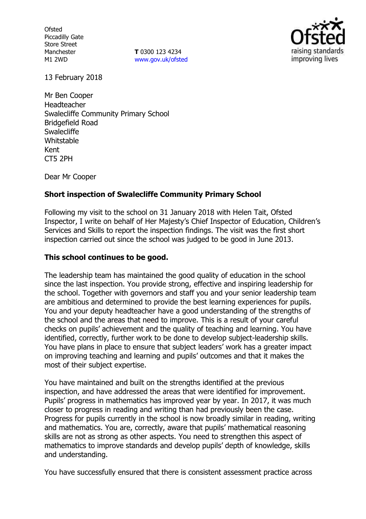**Ofsted** Piccadilly Gate Store Street Manchester M1 2WD

**T** 0300 123 4234 www.gov.uk/ofsted



13 February 2018

Mr Ben Cooper Headteacher Swalecliffe Community Primary School Bridgefield Road **Swalecliffe** Whitstable Kent CT5 2PH

Dear Mr Cooper

# **Short inspection of Swalecliffe Community Primary School**

Following my visit to the school on 31 January 2018 with Helen Tait, Ofsted Inspector, I write on behalf of Her Majesty"s Chief Inspector of Education, Children"s Services and Skills to report the inspection findings. The visit was the first short inspection carried out since the school was judged to be good in June 2013.

#### **This school continues to be good.**

The leadership team has maintained the good quality of education in the school since the last inspection. You provide strong, effective and inspiring leadership for the school. Together with governors and staff you and your senior leadership team are ambitious and determined to provide the best learning experiences for pupils. You and your deputy headteacher have a good understanding of the strengths of the school and the areas that need to improve. This is a result of your careful checks on pupils" achievement and the quality of teaching and learning. You have identified, correctly, further work to be done to develop subject-leadership skills. You have plans in place to ensure that subject leaders" work has a greater impact on improving teaching and learning and pupils" outcomes and that it makes the most of their subject expertise.

You have maintained and built on the strengths identified at the previous inspection, and have addressed the areas that were identified for improvement. Pupils" progress in mathematics has improved year by year. In 2017, it was much closer to progress in reading and writing than had previously been the case. Progress for pupils currently in the school is now broadly similar in reading, writing and mathematics. You are, correctly, aware that pupils' mathematical reasoning skills are not as strong as other aspects. You need to strengthen this aspect of mathematics to improve standards and develop pupils" depth of knowledge, skills and understanding.

You have successfully ensured that there is consistent assessment practice across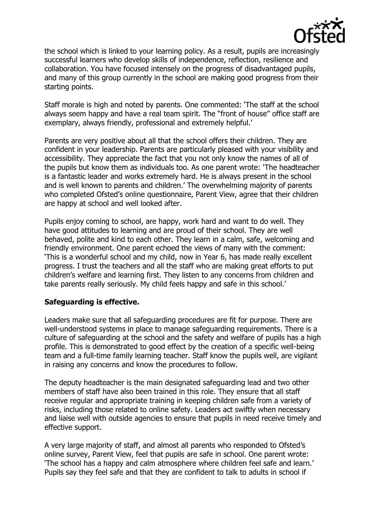

the school which is linked to your learning policy. As a result, pupils are increasingly successful learners who develop skills of independence, reflection, resilience and collaboration. You have focused intensely on the progress of disadvantaged pupils, and many of this group currently in the school are making good progress from their starting points.

Staff morale is high and noted by parents. One commented: "The staff at the school always seem happy and have a real team spirit. The "front of house" office staff are exemplary, always friendly, professional and extremely helpful.'

Parents are very positive about all that the school offers their children. They are confident in your leadership. Parents are particularly pleased with your visibility and accessibility. They appreciate the fact that you not only know the names of all of the pupils but know them as individuals too. As one parent wrote: "The headteacher is a fantastic leader and works extremely hard. He is always present in the school and is well known to parents and children." The overwhelming majority of parents who completed Ofsted"s online questionnaire, Parent View, agree that their children are happy at school and well looked after.

Pupils enjoy coming to school, are happy, work hard and want to do well. They have good attitudes to learning and are proud of their school. They are well behaved, polite and kind to each other. They learn in a calm, safe, welcoming and friendly environment. One parent echoed the views of many with the comment: "This is a wonderful school and my child, now in Year 6, has made really excellent progress. I trust the teachers and all the staff who are making great efforts to put children"s welfare and learning first. They listen to any concerns from children and take parents really seriously. My child feels happy and safe in this school."

### **Safeguarding is effective.**

Leaders make sure that all safeguarding procedures are fit for purpose. There are well-understood systems in place to manage safeguarding requirements. There is a culture of safeguarding at the school and the safety and welfare of pupils has a high profile. This is demonstrated to good effect by the creation of a specific well-being team and a full-time family learning teacher. Staff know the pupils well, are vigilant in raising any concerns and know the procedures to follow.

The deputy headteacher is the main designated safeguarding lead and two other members of staff have also been trained in this role. They ensure that all staff receive regular and appropriate training in keeping children safe from a variety of risks, including those related to online safety. Leaders act swiftly when necessary and liaise well with outside agencies to ensure that pupils in need receive timely and effective support.

A very large majority of staff, and almost all parents who responded to Ofsted"s online survey, Parent View, feel that pupils are safe in school. One parent wrote: "The school has a happy and calm atmosphere where children feel safe and learn." Pupils say they feel safe and that they are confident to talk to adults in school if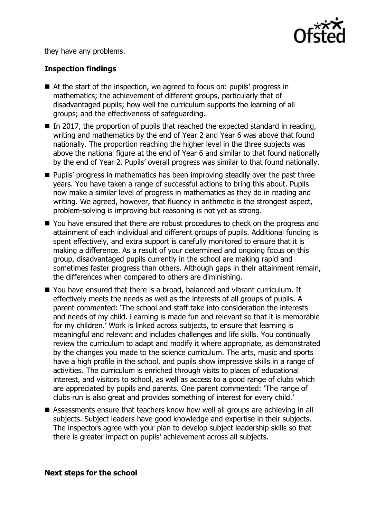

they have any problems.

## **Inspection findings**

- At the start of the inspection, we agreed to focus on: pupils' progress in mathematics; the achievement of different groups, particularly that of disadvantaged pupils; how well the curriculum supports the learning of all groups; and the effectiveness of safeguarding.
- $\blacksquare$  In 2017, the proportion of pupils that reached the expected standard in reading, writing and mathematics by the end of Year 2 and Year 6 was above that found nationally. The proportion reaching the higher level in the three subjects was above the national figure at the end of Year 6 and similar to that found nationally by the end of Year 2. Pupils" overall progress was similar to that found nationally.
- **Pupils' progress in mathematics has been improving steadily over the past three** years. You have taken a range of successful actions to bring this about. Pupils now make a similar level of progress in mathematics as they do in reading and writing. We agreed, however, that fluency in arithmetic is the strongest aspect, problem-solving is improving but reasoning is not yet as strong.
- You have ensured that there are robust procedures to check on the progress and attainment of each individual and different groups of pupils. Additional funding is spent effectively, and extra support is carefully monitored to ensure that it is making a difference. As a result of your determined and ongoing focus on this group, disadvantaged pupils currently in the school are making rapid and sometimes faster progress than others. Although gaps in their attainment remain, the differences when compared to others are diminishing.
- You have ensured that there is a broad, balanced and vibrant curriculum. It effectively meets the needs as well as the interests of all groups of pupils. A parent commented: "The school and staff take into consideration the interests and needs of my child. Learning is made fun and relevant so that it is memorable for my children.' Work is linked across subjects, to ensure that learning is meaningful and relevant and includes challenges and life skills. You continually review the curriculum to adapt and modify it where appropriate, as demonstrated by the changes you made to the science curriculum. The arts, music and sports have a high profile in the school, and pupils show impressive skills in a range of activities. The curriculum is enriched through visits to places of educational interest, and visitors to school, as well as access to a good range of clubs which are appreciated by pupils and parents. One parent commented: 'The range of clubs run is also great and provides something of interest for every child."
- Assessments ensure that teachers know how well all groups are achieving in all subjects. Subject leaders have good knowledge and expertise in their subjects. The inspectors agree with your plan to develop subject leadership skills so that there is greater impact on pupils' achievement across all subjects.